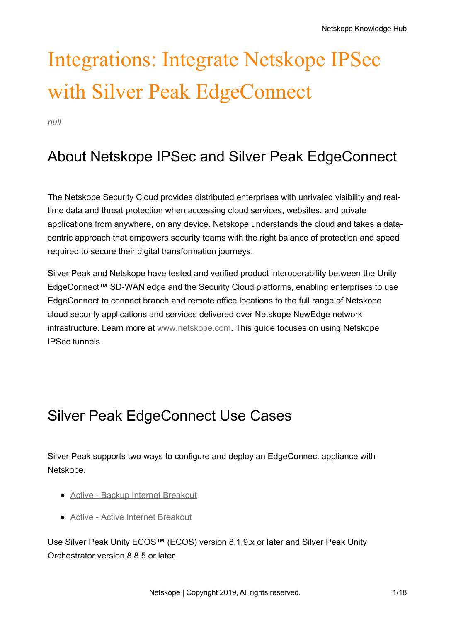# Integrations: Integrate Netskope IPSec with Silver Peak EdgeConnect

*null*

# About Netskope IPSec and Silver Peak EdgeConnect

The Netskope Security Cloud provides distributed enterprises with unrivaled visibility and realtime data and threat protection when accessing cloud services, websites, and private applications from anywhere, on any device. Netskope understands the cloud and takes a datacentric approach that empowers security teams with the right balance of protection and speed required to secure their digital transformation journeys.

Silver Peak and Netskope have tested and verified product interoperability between the Unity EdgeConnect™ SD-WAN edge and the Security Cloud platforms, enabling enterprises to use EdgeConnect to connect branch and remote office locations to the full range of Netskope cloud security applications and services delivered over Netskope NewEdge network infrastructure. Learn more at [www.netskope.com](https://www.netskope.com/). This guide focuses on using Netskope IPSec tunnels.

# Silver Peak EdgeConnect Use Cases

Silver Peak supports two ways to configure and deploy an EdgeConnect appliance with Netskope.

- Active Backup Internet [Breakout](https://support.netskope.com/hc/articles/4402142531479#UUID-f08ffa44-6356-2418-dadc-e326ec3ded82)
- Active Active Internet [Breakout](https://support.netskope.com/hc/articles/4402142532247#UUID-1a5254db-856e-8dc2-fe5d-cfd10187ee8a)

Use Silver Peak Unity ECOS™ (ECOS) version 8.1.9.x or later and Silver Peak Unity Orchestrator version 8.8.5 or later.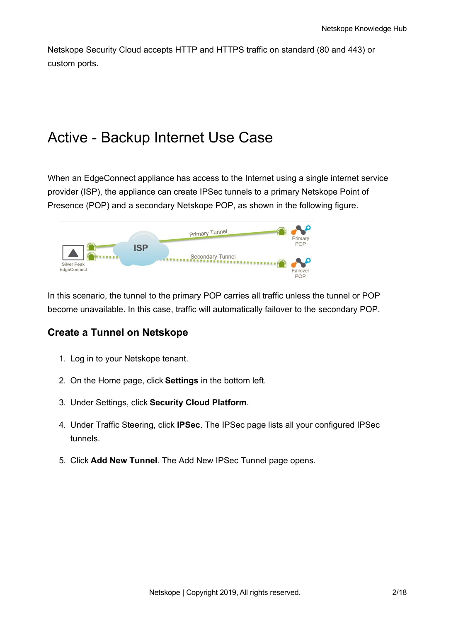Netskope Security Cloud accepts HTTP and HTTPS traffic on standard (80 and 443) or custom ports.

### Active - Backup Internet Use Case

When an EdgeConnect appliance has access to the Internet using a single internet service provider (ISP), the appliance can create IPSec tunnels to a primary Netskope Point of Presence (POP) and a secondary Netskope POP, as shown in the following figure.

|                            |            | <b>Primary Tunnel</b> | Primary                |
|----------------------------|------------|-----------------------|------------------------|
| Silver Peak<br>EdgeConnect | <b>ISP</b> | Secondary Tunnel      | POP<br>Failover<br>POP |

In this scenario, the tunnel to the primary POP carries all traffic unless the tunnel or POP become unavailable. In this case, traffic will automatically failover to the secondary POP.

#### **Create a Tunnel on Netskope**

- 1. Log in to your Netskope tenant.
- 2. On the Home page, click **Settings** in the bottom left.
- 3. Under Settings, click **Security Cloud Platform**.
- 4. Under Traffic Steering, click **IPSec**. The IPSec page lists all your configured IPSec tunnels.
- 5. Click **Add New Tunnel**. The Add New IPSec Tunnel page opens.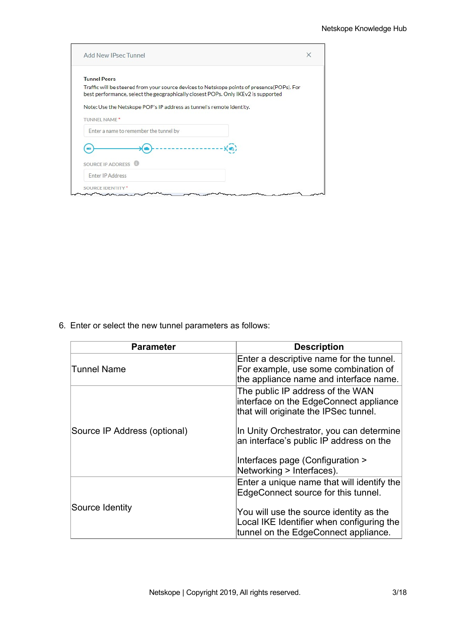| Add New IPsec Tunnel                                                                                                                                                            | × |
|---------------------------------------------------------------------------------------------------------------------------------------------------------------------------------|---|
| <b>Tunnel Peers</b>                                                                                                                                                             |   |
| Traffic will be steered from your source devices to Netskope points of presence(POPs). For<br>best performance, select the geographically closest POPs. Only IKEv2 is supported |   |
| Note: Use the Netskope POP's IP address as tunnel's remote identity.                                                                                                            |   |
| <b>TUNNEL NAME*</b>                                                                                                                                                             |   |
| Enter a name to remember the tunnel by                                                                                                                                          |   |
|                                                                                                                                                                                 |   |
| SOURCE IP ADDRESS                                                                                                                                                               |   |
| <b>Enter IP Address</b>                                                                                                                                                         |   |
| SOURCE IDENTIT                                                                                                                                                                  |   |

6. Enter or select the new tunnel parameters as follows:

| <b>Parameter</b>             | <b>Description</b>                                                                                                           |
|------------------------------|------------------------------------------------------------------------------------------------------------------------------|
| Tunnel Name                  | Enter a descriptive name for the tunnel.<br>For example, use some combination of<br>the appliance name and interface name.   |
|                              | The public IP address of the WAN<br>interface on the EdgeConnect appliance<br>that will originate the IPSec tunnel.          |
| Source IP Address (optional) | In Unity Orchestrator, you can determine<br>an interface's public IP address on the                                          |
|                              | Interfaces page (Configuration ><br>Networking > Interfaces).                                                                |
|                              | Enter a unique name that will identify the<br>EdgeConnect source for this tunnel.                                            |
| Source Identity              | You will use the source identity as the<br>Local IKE Identifier when configuring the<br>tunnel on the EdgeConnect appliance. |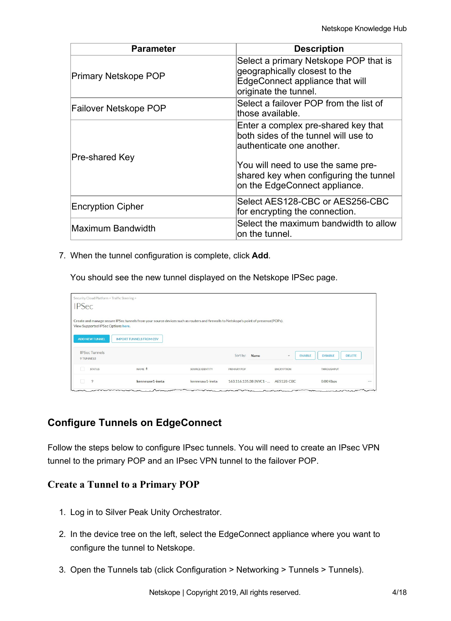| <b>Parameter</b>            | <b>Description</b>                                                                                                                                                                                                         |
|-----------------------------|----------------------------------------------------------------------------------------------------------------------------------------------------------------------------------------------------------------------------|
| <b>Primary Netskope POP</b> | Select a primary Netskope POP that is<br>geographically closest to the<br>EdgeConnect appliance that will<br>originate the tunnel.                                                                                         |
| Failover Netskope POP       | Select a failover POP from the list of<br>those available.                                                                                                                                                                 |
| Pre-shared Key              | Enter a complex pre-shared key that<br>both sides of the tunnel will use to<br>lauthenticate one another.<br>You will need to use the same pre-<br>shared key when configuring the tunnel<br>on the EdgeConnect appliance. |
| <b>Encryption Cipher</b>    | Select AES128-CBC or AES256-CBC<br>for encrypting the connection.                                                                                                                                                          |
| Maximum Bandwidth           | Select the maximum bandwidth to allow<br>on the tunnel.                                                                                                                                                                    |

7. When the tunnel configuration is complete, click **Add**.

You should see the new tunnel displayed on the Netskope IPSec page.

| Security Cloud Platform > Traffic Steering ><br><b>IPSec</b> |                                                                                                                                                                        |                 |                                    |                   |                                                  |  |
|--------------------------------------------------------------|------------------------------------------------------------------------------------------------------------------------------------------------------------------------|-----------------|------------------------------------|-------------------|--------------------------------------------------|--|
| View Supported IPSec Options here.<br><b>ADD NEW TUNNEL</b>  | Create and manage secure IPSec tunnels from your source devices such as routers and firewalls to Netskope's point of presence(POPs).<br><b>IMPORT TUNNELS FROM CSV</b> |                 |                                    |                   |                                                  |  |
| <b>IPSec Tunnels</b><br>9 TUNNELS                            |                                                                                                                                                                        |                 | Sort by: Name                      | $\mathcal{L}$     | <b>DELETE</b><br><b>ENABLE</b><br><b>DISABLE</b> |  |
| <b>STATUS</b>                                                | NAME <sup>+</sup>                                                                                                                                                      | SOURCE IDENTITY | PRIMARY POP                        | <b>ENCRYPTION</b> | THROUGHPUT                                       |  |
| ?                                                            | kennesaw1-ineta                                                                                                                                                        | kennesaw1-ineta | 163.116.135.38 (NYC1 -  AES128-CBC |                   | 0.00 Kbps                                        |  |

#### **Configure Tunnels on EdgeConnect**

Follow the steps below to configure IPsec tunnels. You will need to create an IPsec VPN tunnel to the primary POP and an IPsec VPN tunnel to the failover POP.

#### **Create a Tunnel to a Primary POP**

- 1. Log in to Silver Peak Unity Orchestrator.
- 2. In the device tree on the left, select the EdgeConnect appliance where you want to configure the tunnel to Netskope.
- 3. Open the Tunnels tab (click Configuration > Networking > Tunnels > Tunnels).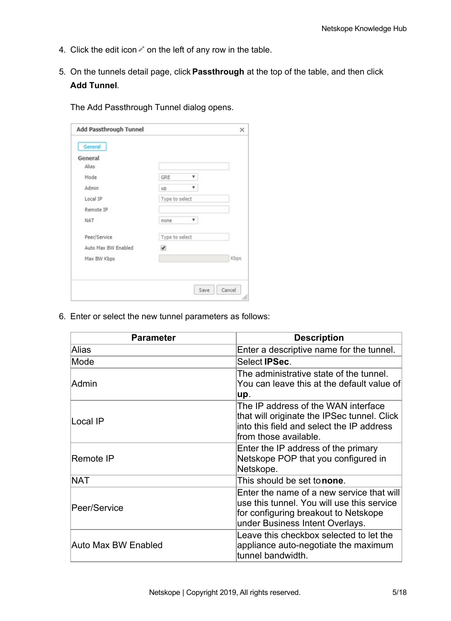- 4. Click the edit icon  $\blacksquare$  on the left of any row in the table.
- 5. On the tunnels detail page, click **Passthrough** at the top of the table, and then click **Add Tunnel**.

Add Passthrough Tunnel × General General Alias  $\pmb{\mathrm{v}}$ GRE Mode Admin up  $\pmb{\mathrm{v}}$ Local IP Type to select Remote IP  $^\mathrm{v}$ NAT none Peer/Service Type to select Auto Max BW Enabled  $\overline{\mathcal{L}}$ Max BW Kbps Kbps Save Cancel

The Add Passthrough Tunnel dialog opens.

6. Enter or select the new tunnel parameters as follows:

| <b>Parameter</b>    | <b>Description</b>                                                                                                                                                 |
|---------------------|--------------------------------------------------------------------------------------------------------------------------------------------------------------------|
| Alias               | Enter a descriptive name for the tunnel.                                                                                                                           |
| Mode                | Select <b>IPSec</b> .                                                                                                                                              |
| Admin               | The administrative state of the tunnel.<br>You can leave this at the default value of<br>up.                                                                       |
| Local IP            | The IP address of the WAN interface<br>that will originate the IPSec tunnel. Click<br>into this field and select the IP address<br>from those available.           |
| Remote IP           | Enter the IP address of the primary<br>Netskope POP that you configured in<br>Netskope.                                                                            |
| <b>NAT</b>          | This should be set tonone.                                                                                                                                         |
| Peer/Service        | Enter the name of a new service that will<br>use this tunnel. You will use this service<br>for configuring breakout to Netskope<br>under Business Intent Overlays. |
| Auto Max BW Enabled | Leave this checkbox selected to let the<br>appliance auto-negotiate the maximum<br>tunnel bandwidth.                                                               |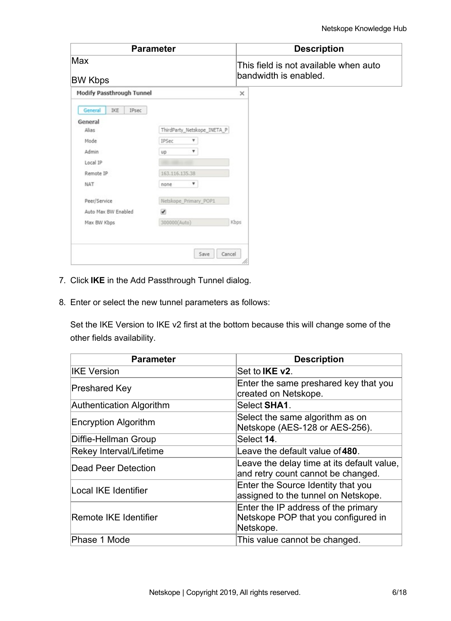|                           | <b>Parameter</b>            | <b>Description</b>                                             |
|---------------------------|-----------------------------|----------------------------------------------------------------|
| Max<br><b>BW Kbps</b>     |                             | This field is not available when auto<br>bandwidth is enabled. |
| Modify Passthrough Tunnel |                             | $\times$                                                       |
| General<br>IKE<br>IPsec   |                             |                                                                |
| General                   |                             |                                                                |
| Alias                     | ThirdParty_Netskope_INETA_P |                                                                |
| Mode                      | IPSec                       |                                                                |
| Admin                     | ۷<br>up                     |                                                                |
| Local IP                  |                             |                                                                |
| Remote IP                 | 163.116.135.38              |                                                                |
| NAT                       | ۷.<br>none                  |                                                                |
| Peer/Service              | Netskope_Primary_POP1       |                                                                |
| Auto Max BW Enabled       | $\overline{\mathcal{L}}$    |                                                                |
| Max BW Kbps               | 300000(Auto)                | Kbps                                                           |

- 7. Click **IKE** in the Add Passthrough Tunnel dialog.
- 8. Enter or select the new tunnel parameters as follows:

Set the IKE Version to IKE v2 first at the bottom because this will change some of the other fields availability.

| <b>Parameter</b>         | <b>Description</b>                                                                      |
|--------------------------|-----------------------------------------------------------------------------------------|
| <b>IKE Version</b>       | Set to IKE v2.                                                                          |
| Preshared Key            | Enter the same preshared key that you<br>created on Netskope.                           |
| Authentication Algorithm | Select SHA1.                                                                            |
| Encryption Algorithm     | Select the same algorithm as on<br>Netskope (AES-128 or AES-256).                       |
| Diffie-Hellman Group     | Select 14.                                                                              |
| Rekey Interval/Lifetime  | Leave the default value of 480.                                                         |
| Dead Peer Detection      | Leave the delay time at its default value,<br>and retry count cannot be changed.        |
| Local IKE Identifier     | Enter the Source Identity that you<br>assigned to the tunnel on Netskope.               |
| Remote IKE Identifier    | Enter the IP address of the primary<br>Netskope POP that you configured in<br>Netskope. |
| Phase 1 Mode             | This value cannot be changed.                                                           |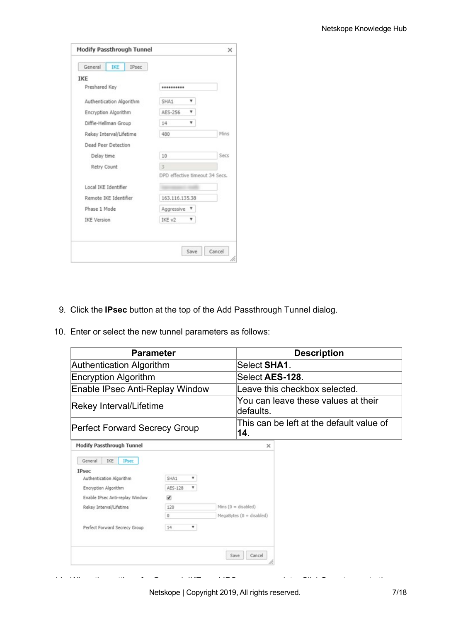| General<br><b>IKE</b><br>IPsec |                                |      |
|--------------------------------|--------------------------------|------|
| <b>IKE</b>                     |                                |      |
| Preshared Key                  |                                |      |
| Authentication Algorithm       | SHA1<br>۷                      |      |
| Encryption Algorithm           | AES-256<br>٠                   |      |
| Diffie-Hellman Group           | 14                             |      |
| Rekey Interval/Lifetime        | 480                            | Mins |
| Dead Peer Detection            |                                |      |
| Delay time                     | 10                             | Secs |
| Retry Count                    | 3                              |      |
|                                | DPD effective timeout 34 Secs. |      |
| Local IKE Identifier           |                                |      |
| Remote IKE Identifier          | 163.116.135.38                 |      |
| Phase 1 Mode                   | Aggressive <b>v</b>            |      |
| <b>IKE Version</b>             | IKE v2<br>۰                    |      |
|                                |                                |      |

- 9. Click the **IPsec** button at the top of the Add Passthrough Tunnel dialog.
- 10. Enter or select the new tunnel parameters as follows:

| <b>Parameter</b>                               |                    |      |                                                  | <b>Description</b>                       |  |  |
|------------------------------------------------|--------------------|------|--------------------------------------------------|------------------------------------------|--|--|
| Authentication Algorithm                       |                    |      | Select SHA1.                                     |                                          |  |  |
| Encryption Algorithm                           |                    |      | Select AES-128.<br>Leave this checkbox selected. |                                          |  |  |
| Enable IPsec Anti-Replay Window                |                    |      |                                                  |                                          |  |  |
| Rekey Interval/Lifetime                        |                    |      | You can leave these values at their<br>defaults. |                                          |  |  |
| <b>Perfect Forward Secrecy Group</b>           |                    |      | 14.                                              | This can be left at the default value of |  |  |
| <b>Modify Passthrough Tunnel</b>               |                    |      | $\times$                                         |                                          |  |  |
| IKE<br><b>IPsec</b><br>General<br><b>IPsec</b> |                    |      |                                                  |                                          |  |  |
| Authentication Algorithm                       | SHA1<br>۷          |      |                                                  |                                          |  |  |
| Encryption Algorithm                           | ۳.<br>AES-128      |      |                                                  |                                          |  |  |
| Enable IPsec Anti-replay Window                | ☞                  |      |                                                  |                                          |  |  |
| Rekey Interval/Lifetime                        | 120<br>$\mathbf 0$ |      | Mins $(0 = disabeled)$                           |                                          |  |  |
|                                                |                    |      | MegaBytes $(0 = disabeled)$                      |                                          |  |  |
| Perfect Forward Secrecy Group                  | ۳<br>14            |      |                                                  |                                          |  |  |
|                                                |                    | Save | Cancel                                           |                                          |  |  |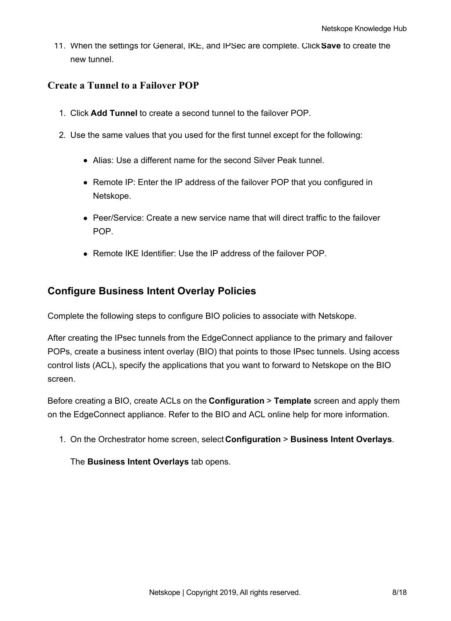11. When the settings for General, IKE, and IPSec are complete. Click**Save** to create the new tunnel.

#### **Create a Tunnel to a Failover POP**

- 1. Click **Add Tunnel** to create a second tunnel to the failover POP.
- 2. Use the same values that you used for the first tunnel except for the following:
	- Alias: Use a different name for the second Silver Peak tunnel.
	- Remote IP: Enter the IP address of the failover POP that you configured in Netskope.
	- Peer/Service: Create a new service name that will direct traffic to the failover POP.
	- Remote IKE Identifier: Use the IP address of the failover POP.

#### **Configure Business Intent Overlay Policies**

Complete the following steps to configure BIO policies to associate with Netskope.

After creating the IPsec tunnels from the EdgeConnect appliance to the primary and failover POPs, create a business intent overlay (BIO) that points to those IPsec tunnels. Using access control lists (ACL), specify the applications that you want to forward to Netskope on the BIO screen.

Before creating a BIO, create ACLs on the **Configuration** > **Template** screen and apply them on the EdgeConnect appliance. Refer to the BIO and ACL online help for more information.

1. On the Orchestrator home screen, select **Configuration** > **Business Intent Overlays**.

The **Business Intent Overlays** tab opens.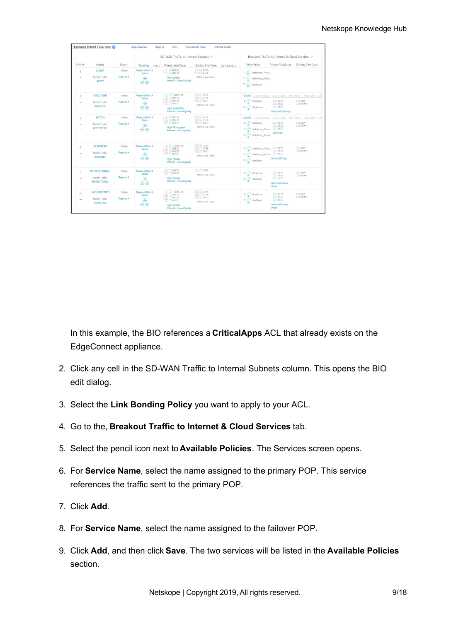|                          |                               |                               |                         | SD-WAN Traffic to Internal Subnets /              |                                              | Breakout Traffic to Internet & Cloud Services /      |                                  |                                                      |  |
|--------------------------|-------------------------------|-------------------------------|-------------------------|---------------------------------------------------|----------------------------------------------|------------------------------------------------------|----------------------------------|------------------------------------------------------|--|
| Priority                 | Overlay                       | Region                        | $Topology$ $Hubs +$     | Primary Interfaces                                | <b>Backup Interfaces</b><br>OoS & Security + | Policy Order                                         | Primary Interfaces               | <b>Backup Interfaces</b>                             |  |
| 1                        | <b>GUEST</b>                  | Global                        | Regional Hub &<br>Spoke | $-2$ $\cap$ INETA<br>$(2)$ $\bigcap$ INETB        | $-20$ LTEA<br>20 LTEB                        | 1 Cr. Netskope_Prima                                 |                                  |                                                      |  |
| $\equiv$<br>×            | Match Traffic<br><b>GUEST</b> | Regions F                     |                         | High Quality<br>Waterfall: Overall Quality        | If Pri & Sec Down                            | 2 <>> Netskope_Backu<br>3 3 Backhaul                 |                                  |                                                      |  |
| 2                        | <b>REALTIME</b>               | Global                        | Regional Hub &<br>Spoke | TIC TRANSIT1<br>$-2$ $\cap$ INETA                 | 20 LTEA<br>20 LTEB                           |                                                      |                                  | Branch EAST3-Google EAST2-AWS APJ1-Azure AUS1-AWS EM |  |
| $\sim$                   | Match Traffic                 | Regions $\blacktriangleright$ |                         | ② 凸 INETB<br><b>2 C INETC</b>                     | $(2)$ $\bigcap$ SAT1                         | 1 (Y) Backhaul                                       | <b>C INETA</b><br><b>C</b> INETB | <b>CILTEA</b><br>C NOTUN                             |  |
| ×                        | <b>REALTIME</b>               |                               |                         | High Availability                                 | If Pri & Sec Down                            | $2$ Break out                                        | <b>C</b> INETC                   |                                                      |  |
|                          |                               |                               |                         | Waterfall: Overall Quality                        |                                              |                                                      | Waterfall: Latency               |                                                      |  |
| 3                        | <b>BATCH</b>                  | Global                        | Regional Hub &<br>Spoke | $-20$ C INETA<br>(2) 凸 INETB                      | $-20$ LTEA<br>20 LTEB                        |                                                      |                                  | Branch EAST3-Google EAST2-AWS APJ1-Azure AUS1-AWS EM |  |
| $\sim$                   | Match Traffic                 | Regions F                     |                         | <b>ED CLINETC</b>                                 | $-21$ SAT1                                   | 1 < Backhaul                                         | <b>C INETA</b><br><b>C INETB</b> | <b>CLTEA</b><br><b>C NOTUN</b>                       |  |
| $\!\times\!$             | <b>BESTEFFORT</b>             |                               |                         | <b>High Throughput</b><br>Balanced: Link Capacity | If Pri & Sec Down                            | 2 Cr Netskope Prima O INETC<br>3 Cr. Netskope Backu. | Balanced                         |                                                      |  |
| $\overline{4}$           | <b>BUSINESS</b>               | Global                        | Regional Hub &<br>Spoke | $\Box$ $\Box$ TRANSIT1<br>$\sqrt{2}$ $\Box$ INETA | $-20$ LTEA<br>2 C LTEB                       | 1 CD Netskope Prima O INETA                          |                                  | <b>CILTEA</b>                                        |  |
| $=$                      | Match Traffic                 | Regions <b>F</b>              |                         | 2 C INETB<br>$(2)$ $\bigcap$ INETC                | $(2)$ <sup>O</sup> SAT1                      | 2 Cr. Netskope Backu                                 | <b>C INETB</b><br><b>C INETC</b> | <b>CINOTUN</b>                                       |  |
| ×                        | <b>BUSINESS</b>               |                               |                         | High Quality<br>Waterfall: Overall Quality        | If Pri & Sec Down                            | 3 CD Backhaul                                        | Waterfall: Auto                  |                                                      |  |
| 5                        | <b>RECREATIONAL</b>           | Global                        | Regional Hub &<br>Spoke | COCOINETA<br><b>TIC INFTB</b>                     | <b>TTO LTEA</b>                              | $1 \bigcirc$ Break out                               | <b>C INETA</b>                   | <b>C</b> LTEA                                        |  |
| $\overline{\phantom{a}}$ | Match Traffic                 | Regions <b>F</b>              |                         | High Ouality                                      | If Pri & Sec Down                            | 2 3 Backhaul                                         | <b>C INETB</b><br><b>C</b> INETC | <b>C NOTUN</b>                                       |  |
| ×                        | <b>RECREATIONAL</b>           |                               |                         | Waterfall: Overall Quality                        |                                              |                                                      | Waterfall: Fixed<br>Order        |                                                      |  |
| 6                        | <b>UNCLASSIFIED</b>           | Global                        | Regional Hub &<br>Spoke | <b>DIDITRANSIT1</b><br><b>20 CINETA</b>           | $(2)$ $\bigcap$ LTEA<br><b>200 LTEB</b>      | $1$ $\bigcirc$ Break out                             | <b>C INETA</b>                   | <b>CHLTEA</b>                                        |  |
| $\sim$                   | Match Traffic                 | Regions <b>F</b>              |                         | (2) C INETB<br>$(2)$ $\bigcap$ INETC              | 20 SAT1                                      | 2 (Y) Backhaul                                       | <b>C</b> INETB<br><b>C INETC</b> | <b>C NOTUN</b>                                       |  |
| $\times$                 | Overlay ACL                   |                               |                         | High Ouality                                      | If Pri & Sec Down                            |                                                      | Waterfall: Fixed<br>Order        |                                                      |  |

In this example, the BIO references a **CriticalApps** ACL that already exists on the EdgeConnect appliance.

- 2. Click any cell in the SD-WAN Traffic to Internal Subnets column. This opens the BIO edit dialog.
- 3. Select the **Link Bonding Policy** you want to apply to your ACL.
- 4. Go to the, **Breakout Traffic to Internet & Cloud Services** tab.
- 5. Select the pencil icon next to **Available Policies**. The Services screen opens.
- 6. For **Service Name**, select the name assigned to the primary POP. This service references the traffic sent to the primary POP.
- 7. Click **Add**.
- 8. For **Service Name**, select the name assigned to the failover POP.
- 9. Click **Add**, and then click **Save**. The two services will be listed in the **Available Policies** section.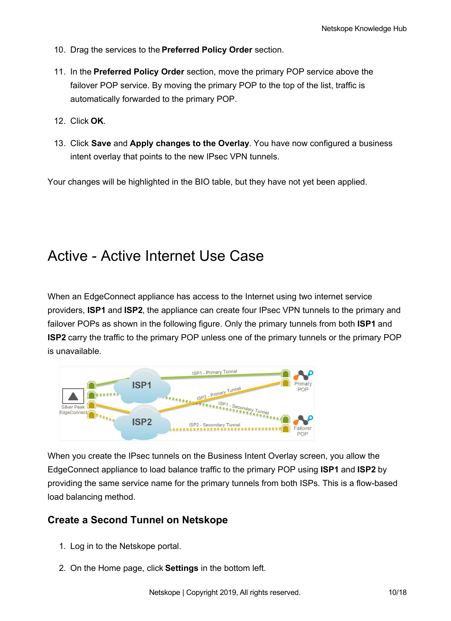- 10. Drag the services to the **Preferred Policy Order** section.
- 11. In the **Preferred Policy Order** section, move the primary POP service above the failover POP service. By moving the primary POP to the top of the list, traffic is automatically forwarded to the primary POP.
- 12. Click **OK**.
- 13. Click **Save** and **Apply changes to the Overlay**. You have now configured a business intent overlay that points to the new IPsec VPN tunnels.

Your changes will be highlighted in the BIO table, but they have not yet been applied.

## Active - Active Internet Use Case

When an EdgeConnect appliance has access to the Internet using two internet service providers, **ISP1** and **ISP2**, the appliance can create four IPsec VPN tunnels to the primary and failover POPs as shown in the following figure. Only the primary tunnels from both **ISP1** and **ISP2** carry the traffic to the primary POP unless one of the primary tunnels or the primary POP is unavailable.



When you create the IPsec tunnels on the Business Intent Overlay screen, you allow the EdgeConnect appliance to load balance traffic to the primary POP using **ISP1** and **ISP2** by providing the same service name for the primary tunnels from both ISPs. This is a flow-based load balancing method.

#### **Create a Second Tunnel on Netskope**

- 1. Log in to the Netskope portal.
- 2. On the Home page, click **Settings** in the bottom left.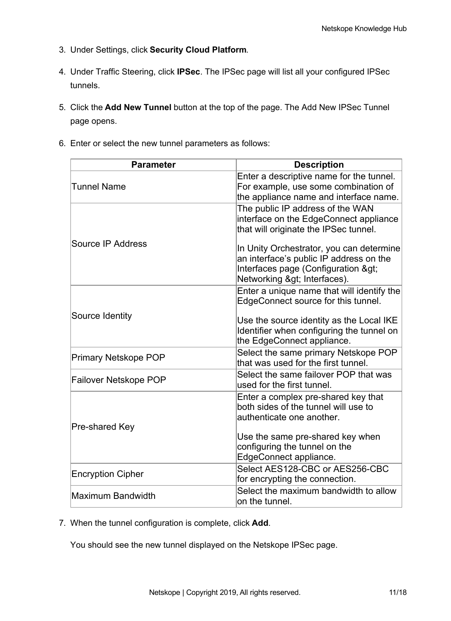- 3. Under Settings, click **Security Cloud Platform**.
- 4. Under Traffic Steering, click **IPSec**. The IPSec page will list all your configured IPSec tunnels.
- 5. Click the **Add New Tunnel** button at the top of the page. The Add New IPSec Tunnel page opens.
- 6. Enter or select the new tunnel parameters as follows:

| <b>Parameter</b>            | <b>Description</b>                                                                                                                                   |
|-----------------------------|------------------------------------------------------------------------------------------------------------------------------------------------------|
| <b>Tunnel Name</b>          | Enter a descriptive name for the tunnel.<br>For example, use some combination of<br>the appliance name and interface name.                           |
|                             | The public IP address of the WAN<br>interface on the EdgeConnect appliance<br>that will originate the IPSec tunnel.                                  |
| Source IP Address           | In Unity Orchestrator, you can determine<br>an interface's public IP address on the<br>Interfaces page (Configuration ><br>Networking > Interfaces). |
|                             | Enter a unique name that will identify the<br>EdgeConnect source for this tunnel.                                                                    |
| Source Identity             | Use the source identity as the Local IKE<br>Identifier when configuring the tunnel on<br>the EdgeConnect appliance.                                  |
| <b>Primary Netskope POP</b> | Select the same primary Netskope POP<br>that was used for the first tunnel.                                                                          |
| Failover Netskope POP       | Select the same failover POP that was<br>used for the first tunnel.                                                                                  |
| Pre-shared Key              | Enter a complex pre-shared key that<br>both sides of the tunnel will use to<br>authenticate one another.<br>Use the same pre-shared key when         |
|                             | configuring the tunnel on the<br>EdgeConnect appliance.                                                                                              |
| <b>Encryption Cipher</b>    | Select AES128-CBC or AES256-CBC<br>for encrypting the connection.                                                                                    |
| Maximum Bandwidth           | Select the maximum bandwidth to allow<br>on the tunnel.                                                                                              |

7. When the tunnel configuration is complete, click **Add**.

You should see the new tunnel displayed on the Netskope IPSec page.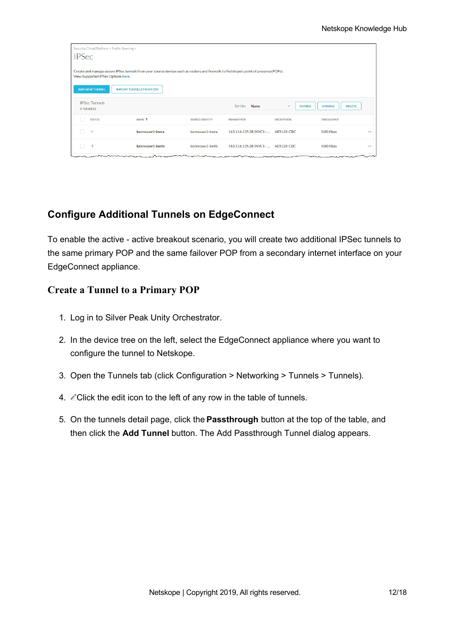| Security Cloud Platform > Traffic Steering ><br><b>IPSec</b> |                                                                                                                                      |                 |                                    |                                           |                                 |  |
|--------------------------------------------------------------|--------------------------------------------------------------------------------------------------------------------------------------|-----------------|------------------------------------|-------------------------------------------|---------------------------------|--|
|                                                              | Create and manage secure IPSec tunnels from your source devices such as routers and firewalls to Netskope's point of presence(POPs). |                 |                                    |                                           |                                 |  |
| View Supported IPSec Options here.                           |                                                                                                                                      |                 |                                    |                                           |                                 |  |
| <b>ADD NEW TUNNEL</b>                                        | <b>IMPORT TUNNELS FROM CSV</b>                                                                                                       |                 |                                    |                                           |                                 |  |
| <b>IPSec Tunnels</b><br>9 TUNNELS                            |                                                                                                                                      |                 | Sort by:<br>Name                   | <b>ENABLE</b><br>$\overline{\phantom{a}}$ | <b>DISABLE</b><br><b>DELETE</b> |  |
| <b>STATUS</b>                                                | NAME <sup>+</sup>                                                                                                                    | SOURCE IDENTITY | PRIMARY POP                        | <b>ENCRYPTION</b>                         | <b>THROUGHPUT</b>               |  |
| $\uparrow$<br>$\mathbb{R}$                                   | kennesaw1-ineta                                                                                                                      | kennesaw1-ineta | 163.116.135.38 (NYC1 -  AES128-CBC |                                           | 0.00 Kbps                       |  |
| $\tilde{?}$                                                  | kennesaw1-inetb                                                                                                                      | kennesaw1-inetb | 163.116.135.38 (NYC1 -  AES128-CBC |                                           | 0.00 Kbps                       |  |

#### **Configure Additional Tunnels on EdgeConnect**

To enable the active - active breakout scenario, you will create two additional IPSec tunnels to the same primary POP and the same failover POP from a secondary internet interface on your EdgeConnect appliance.

#### **Create a Tunnel to a Primary POP**

- 1. Log in to Silver Peak Unity Orchestrator.
- 2. In the device tree on the left, select the EdgeConnect appliance where you want to configure the tunnel to Netskope.
- 3. Open the Tunnels tab (click Configuration > Networking > Tunnels > Tunnels).
- 4. Click the edit icon to the left of any row in the table of tunnels.
- 5. On the tunnels detail page, click the **Passthrough** button at the top of the table, and then click the **Add Tunnel** button. The Add Passthrough Tunnel dialog appears.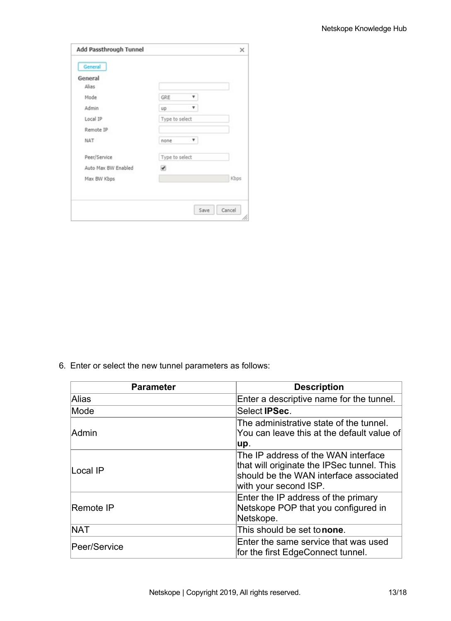| Add Passthrough Tunnel |                | ×    |
|------------------------|----------------|------|
| General                |                |      |
| General                |                |      |
| Alias                  |                |      |
| Mode                   | GRE            |      |
| Admin                  | UD             |      |
| Local IP               | Type to select |      |
| Remote IP              |                |      |
| NAT                    | ٣.<br>none     |      |
| Peer/Service           | Type to select |      |
| Auto Max BW Enabled    | ✔              |      |
| Max BW Kbps            |                | Kbps |

6. Enter or select the new tunnel parameters as follows:

| <b>Parameter</b> | <b>Description</b>                                                                                                                                   |  |  |
|------------------|------------------------------------------------------------------------------------------------------------------------------------------------------|--|--|
| Alias            | Enter a descriptive name for the tunnel.                                                                                                             |  |  |
| Mode             | Select <b>IPSec.</b>                                                                                                                                 |  |  |
| Admin            | The administrative state of the tunnel.<br>You can leave this at the default value of<br>up.                                                         |  |  |
| lLocal IP        | The IP address of the WAN interface<br>that will originate the IPSec tunnel. This<br>should be the WAN interface associated<br>with your second ISP. |  |  |
| Remote IP        | Enter the IP address of the primary<br>Netskope POP that you configured in<br>Netskope.                                                              |  |  |
| <b>NAT</b>       | This should be set tonone.                                                                                                                           |  |  |
| Peer/Service     | Enter the same service that was used<br>for the first EdgeConnect tunnel.                                                                            |  |  |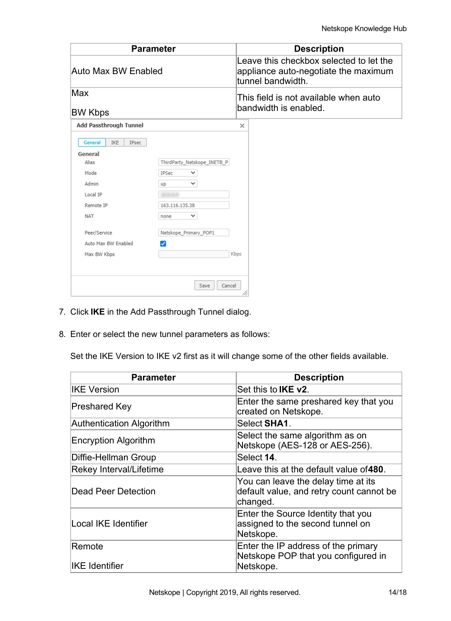|                                                                                                                                                                  | <b>Parameter</b>                                                                                                                        | <b>Description</b>                                                                                   |  |  |
|------------------------------------------------------------------------------------------------------------------------------------------------------------------|-----------------------------------------------------------------------------------------------------------------------------------------|------------------------------------------------------------------------------------------------------|--|--|
| Auto Max BW Enabled<br>Max<br><b>BW Kbps</b>                                                                                                                     |                                                                                                                                         | Leave this checkbox selected to let the<br>appliance auto-negotiate the maximum<br>tunnel bandwidth. |  |  |
|                                                                                                                                                                  |                                                                                                                                         | This field is not available when auto<br>bandwidth is enabled.                                       |  |  |
| Add Passthrough Tunnel                                                                                                                                           |                                                                                                                                         | $\times$                                                                                             |  |  |
| General<br><b>IKE</b><br>IPsec<br>General<br>Alias<br>Mode<br>Admin<br>Local IP<br>Remote IP<br><b>NAT</b><br>Peer/Service<br>Auto Max BW Enabled<br>Max BW Kbps | ThirdParty Netskope INETB P<br>IPSec<br>$\checkmark$<br>$\checkmark$<br>up<br>163.116.135.38<br>◡<br>none<br>Netskope_Primary_POP1<br>ℐ | Kbps                                                                                                 |  |  |
|                                                                                                                                                                  | Cancel<br>Save                                                                                                                          | 11.                                                                                                  |  |  |

- 7. Click **IKE** in the Add Passthrough Tunnel dialog.
- 8. Enter or select the new tunnel parameters as follows:

Set the IKE Version to IKE v2 first as it will change some of the other fields available.

| <b>Parameter</b>         | <b>Description</b>                                                                          |  |  |
|--------------------------|---------------------------------------------------------------------------------------------|--|--|
| <b>IKE Version</b>       | Set this to <b>IKE v2</b> .                                                                 |  |  |
| Preshared Key            | Enter the same preshared key that you<br>created on Netskope.                               |  |  |
| Authentication Algorithm | Select SHA1.                                                                                |  |  |
| Encryption Algorithm     | Select the same algorithm as on<br>Netskope (AES-128 or AES-256).                           |  |  |
| Diffie-Hellman Group     | Select 14.                                                                                  |  |  |
| Rekey Interval/Lifetime  | Leave this at the default value of 480.                                                     |  |  |
| Dead Peer Detection      | You can leave the delay time at its<br>default value, and retry count cannot be<br>changed. |  |  |
| Local IKE Identifier     | Enter the Source Identity that you<br>assigned to the second tunnel on<br>Netskope.         |  |  |
| Remote                   | Enter the IP address of the primary<br>Netskope POP that you configured in                  |  |  |
| <b>IKE</b> Identifier    | Netskope.                                                                                   |  |  |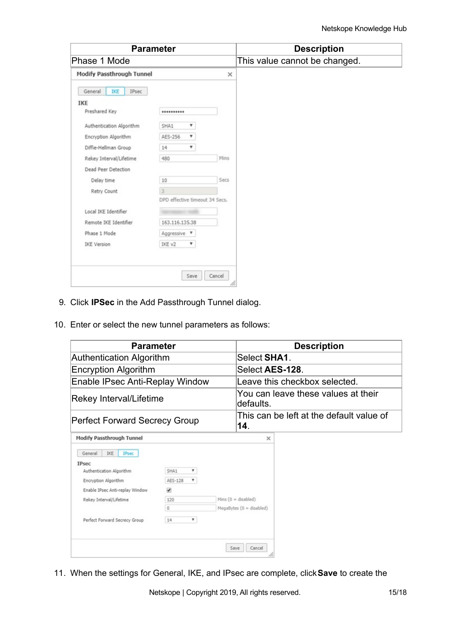| <b>Parameter</b>          |                                |          | <b>Description</b>            |
|---------------------------|--------------------------------|----------|-------------------------------|
| Phase 1 Mode              |                                |          | This value cannot be changed. |
| Modify Passthrough Tunnel |                                | $\times$ |                               |
| General<br>IPsec<br>IKE   |                                |          |                               |
| IKE                       |                                |          |                               |
| Preshared Key             |                                |          |                               |
| Authentication Algorithm  | SHA1<br>۷                      |          |                               |
| Encryption Algorithm      | AES-256<br>۷                   |          |                               |
| Diffie-Hellman Group      | ۰<br>14                        |          |                               |
| Rekey Interval/Lifetime   | 480                            | Mins     |                               |
| Dead Peer Detection       |                                |          |                               |
| Delay time                | 10                             | Secs     |                               |
| Retry Count               | 3                              |          |                               |
|                           | DPD effective timeout 34 Secs. |          |                               |
| Local IKE Identifier      |                                |          |                               |
| Remote IKE Identifier     | 163.116.135.38                 |          |                               |
| Phase 1 Mode              | Aggressive <b>v</b>            |          |                               |
|                           | IKE v2<br>۳                    |          |                               |

- 9. Click **IPSec** in the Add Passthrough Tunnel dialog.
- 10. Enter or select the new tunnel parameters as follows:

| <b>Parameter</b>                     | <b>Description</b>                               |
|--------------------------------------|--------------------------------------------------|
| Authentication Algorithm             | Select SHA1.                                     |
| Encryption Algorithm                 | Select AES-128.                                  |
| Enable IPsec Anti-Replay Window      | Leave this checkbox selected.                    |
| Rekey Interval/Lifetime              | You can leave these values at their<br>defaults. |
| <b>Perfect Forward Secrecy Group</b> | This can be left at the default value of<br>14.  |
| Modify Dacethrough Tunnol            | $\sim$                                           |

| IKE<br>General<br><b>IPsec</b>  |              |                          |
|---------------------------------|--------------|--------------------------|
| <b>IPsec</b>                    |              |                          |
| Authentication Algorithm        | SHA1<br>v    |                          |
| Encryption Algorithm            | ۳<br>AES-128 |                          |
| Enable IPsec Anti-replay Window | ✔            |                          |
| Rekey Interval/Lifetime         | 120          | Mins $(0 = disabeled)$   |
|                                 | 0            | MegaBytes (0 = disabled) |
| Perfect Forward Secrecy Group   | ۳<br>14      |                          |
|                                 |              |                          |
|                                 |              |                          |
|                                 |              | Cancel<br>Save           |

11. When the settings for General, IKE, and IPsec are complete, click**Save** to create the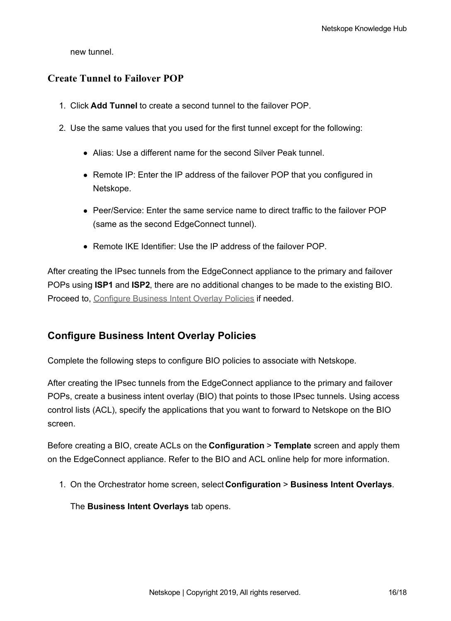new tunnel.

#### **Create Tunnel to Failover POP**

- 1. Click **Add Tunnel** to create a second tunnel to the failover POP.
- 2. Use the same values that you used for the first tunnel except for the following:
	- Alias: Use a different name for the second Silver Peak tunnel.
	- Remote IP: Enter the IP address of the failover POP that you configured in Netskope.
	- Peer/Service: Enter the same service name to direct traffic to the failover POP (same as the second EdgeConnect tunnel).
	- Remote IKE Identifier: Use the IP address of the failover POP.

After creating the IPsec tunnels from the EdgeConnect appliance to the primary and failover POPs using **ISP1** and **ISP2**, there are no additional changes to be made to the existing BIO. Proceed to, [Configure](https://support.netskope.com/hc/articles/4402142531479#UUID-82106f7b-83d2-6b82-5e8b-47b94d5d14bf) Business Intent Overlay Policies if needed.

#### **Configure Business Intent Overlay Policies**

Complete the following steps to configure BIO policies to associate with Netskope.

After creating the IPsec tunnels from the EdgeConnect appliance to the primary and failover POPs, create a business intent overlay (BIO) that points to those IPsec tunnels. Using access control lists (ACL), specify the applications that you want to forward to Netskope on the BIO screen.

Before creating a BIO, create ACLs on the **Configuration** > **Template** screen and apply them on the EdgeConnect appliance. Refer to the BIO and ACL online help for more information.

1. On the Orchestrator home screen, select **Configuration** > **Business Intent Overlays**.

The **Business Intent Overlays** tab opens.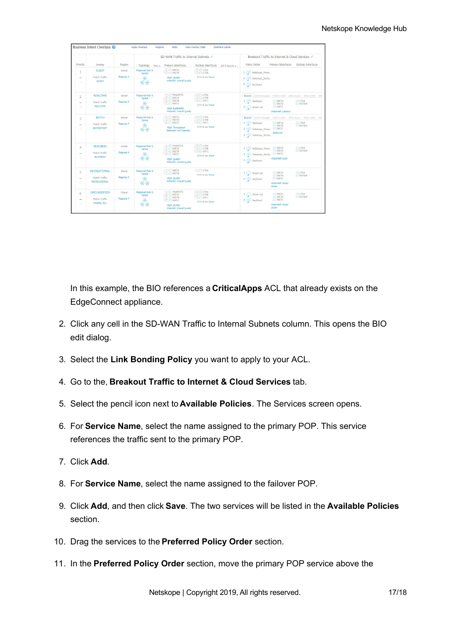|                           |                               |                               | SD-WAN Traffic to Internal Subnets / |                                                   |                                              |                                                                                             | Breakout Traffic to Internet & Cloud Services |                                  |  |
|---------------------------|-------------------------------|-------------------------------|--------------------------------------|---------------------------------------------------|----------------------------------------------|---------------------------------------------------------------------------------------------|-----------------------------------------------|----------------------------------|--|
| Priority                  | Overlay                       | Region                        | Topology<br>$Hubs +$                 | Primary Interfaces                                | <b>Backup Interfaces</b><br>OoS & Security + | Policy Order                                                                                | Primary Interfaces                            | <b>Backup Interfaces</b>         |  |
|                           | <b>GUEST</b>                  | Global                        | Regional Hub &<br>Spoke              | $-2$ $\Omega$ INETA<br>$\sqrt{2}$ C INETB         | $-20$ LTEA<br>20 LTEB                        | 1 Cr. Netskope_Prima                                                                        |                                               |                                  |  |
| $\equiv$<br>Ÿ             | Match Traffic<br><b>GUEST</b> | Regions F                     |                                      | High Ouality<br>Waterfall: Overall Quality        | If Pri & Sec Down                            | 2 CO Netskope Backu<br>3 Cy Backhaul                                                        |                                               |                                  |  |
| $\overline{\phantom{a}}$  | <b>REALTIME</b>               | Global                        | Regional Hub &<br>Spoke              | $\top$ $\triangle$ TRANSIT1<br>$\sqrt{2}$ C INETA | $\Box$ $\Box$ LTEA<br>20 LTEB                | Branch EAST3-Google EAST2-AWS APJ1-Azure AUS1-AWS EM                                        |                                               |                                  |  |
| $\equiv$                  | Match Traffic                 | Regions $\blacktriangleright$ |                                      | 20 INETB<br>2 C INETC                             | $(2)$ $\bigcap$ SAT1                         | 1 3 Backhaul                                                                                | <b>C INETA</b>                                | <b>CILTEA</b>                    |  |
| ×                         | <b>REALTIME</b>               |                               |                                      |                                                   | If Pri & Sec Down                            | $2$ Break out                                                                               | C INETB<br><b>C</b> INETC                     | <b>C NOTUN</b>                   |  |
|                           |                               |                               |                                      | High Availability<br>Waterfall: Overall Quality   |                                              |                                                                                             | Waterfall: Latency                            |                                  |  |
| 3                         | <b>RATCH</b>                  | Global                        | Regional Hub &<br>Spoke              | $-22$ $\cap$ INETA<br><b>20 CLINETB</b>           | $-20$ LTEA<br><b>20 LTEB</b>                 | Branch EAST3-Google                                                                         |                                               | EAST2-AWS APJ1-Azure AUS1-AWS EM |  |
| $\overline{\phantom{a}}$  | Match Traffic                 | Regions <b>F</b>              |                                      | <b>ELCUMETC</b>                                   | $-2$ $\cap$ SAT1                             | 1 < Backhaul                                                                                | <b>C INETA</b>                                | CLIFA                            |  |
| ×                         | <b>BESTEFFORT</b>             |                               |                                      | <b>High Throughput</b><br>Balanced: Link Capacity | If Pri & Sec Down                            | C INFTB<br><b>C NOTUN</b><br>2 CO Netskope Prima C INETC<br>Balanced<br>3 CY Netskope Backu |                                               |                                  |  |
| $\overline{4}$            | <b>BUSINESS</b>               | Global                        | Regional Hub &<br>Spoke              | $\cap$ $\bigcirc$ TRANSIT1<br>$-2$ $\cap$ INETA   | $-20$ LTEA<br>$(2)$ $\bigcap$ LTEB           | 1 3 Netskope_Prima O INETA                                                                  |                                               | <b>CILTEA</b>                    |  |
| $=$                       | Match Traffic                 | Regions $\blacktriangleright$ |                                      | 2 C INETB<br>$(2)$ $\bigcap$ INETC                | $(2)$ $\bigcap$ SAT1                         |                                                                                             | <b>C INETB</b><br>C INETC                     | <b>CINOTUN</b>                   |  |
| ×                         | <b>BUSINESS</b>               |                               |                                      | High Quality<br>Waterfall: Overall Quality        | If Pri & Sec Down                            | 2 Cro Netskope Backu<br>3 CD Backhaul                                                       | Waterfall: Auto                               |                                  |  |
| 5                         | <b>RECREATIONAL</b>           | Global                        | Regional Hub &<br>Spoke              | COCOINETA<br><b>TIC INFTB</b>                     | <b>COLTEA</b>                                | $1 \bigcirc$ Break out                                                                      | <b>C</b> INETA                                | CLTEA                            |  |
| $\sim$                    | Match Traffic                 | Regions $\blacktriangleright$ |                                      | High Ouality                                      | If Pri & Sec Down                            | 2 3 Backhaul                                                                                | <b>C INETB</b><br>C INETC                     | <b>C NOTUN</b>                   |  |
| $\scriptstyle\rm\!\times$ | <b>RECREATIONAL</b>           |                               |                                      | Waterfall: Overall Quality                        |                                              |                                                                                             | Waterfall: Fixed<br>Order                     |                                  |  |
| 6                         | <b>UNCLASSIFIED</b>           | Global                        | Regional Hub &<br>Spoke              | <b>TTO TRANSIT1</b><br>$-22$ C INETA              | $-22$ C LTEA<br><b>②△LTEB</b>                | $1$ $\bigcirc$ Break out                                                                    | <b>C INETA</b>                                | <b>CHLTEA</b>                    |  |
| $\sim$                    | Match Traffic                 | Regions $\blacktriangleright$ |                                      | (2) C INETB<br>$(2)$ $\bigcap$ INETC              | $(2)$ $\bigcirc$ SAT1                        | 2 3 Backhaul                                                                                | C INETB<br><b>C INETC</b>                     | <b>C NOTUN</b>                   |  |
| $\!\times\!$              | Overlay ACL                   |                               |                                      | High Ouality                                      | If Pri & Sec Down                            |                                                                                             | Waterfall: Fixed                              |                                  |  |

In this example, the BIO references a **CriticalApps** ACL that already exists on the EdgeConnect appliance.

- 2. Click any cell in the SD-WAN Traffic to Internal Subnets column. This opens the BIO edit dialog.
- 3. Select the **Link Bonding Policy** you want to apply to your ACL.
- 4. Go to the, **Breakout Traffic to Internet & Cloud Services** tab.
- 5. Select the pencil icon next to **Available Policies**. The Services screen opens.
- 6. For **Service Name**, select the name assigned to the primary POP. This service references the traffic sent to the primary POP.
- 7. Click **Add**.
- 8. For **Service Name**, select the name assigned to the failover POP.
- 9. Click **Add**, and then click **Save**. The two services will be listed in the **Available Policies** section.
- 10. Drag the services to the **Preferred Policy Order** section.
- 11. In the **Preferred Policy Order** section, move the primary POP service above the